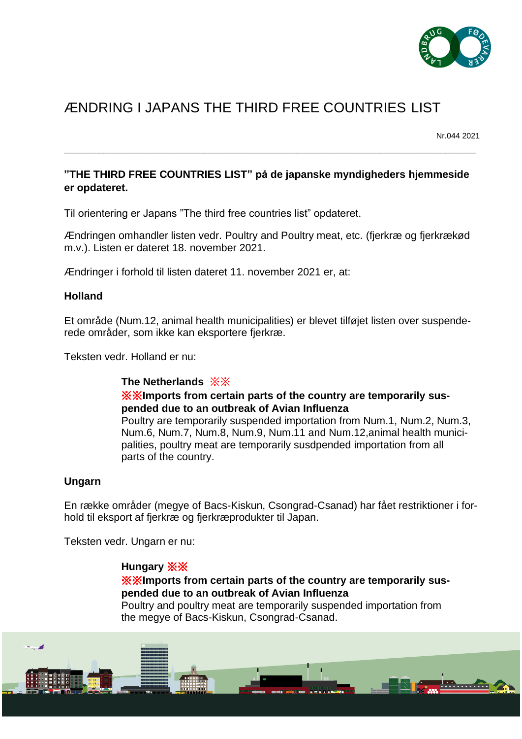

# ÆNDRING I JAPANS THE THIRD FREE COUNTRIES LIST

Nr.044 2021

## **"THE THIRD FREE COUNTRIES LIST" på de japanske myndigheders hjemmeside er opdateret.**

\_\_\_\_\_\_\_\_\_\_\_\_\_\_\_\_\_\_\_\_\_\_\_\_\_\_\_\_\_\_\_\_\_\_\_\_\_\_\_\_\_\_\_\_\_\_\_\_\_\_\_\_\_\_\_\_\_\_\_\_\_\_\_\_\_\_\_\_\_\_\_\_\_\_\_\_\_\_\_\_\_\_\_\_\_\_\_\_\_\_\_\_\_\_

Til orientering er Japans "The third free countries list" opdateret.

Ændringen omhandler listen vedr. Poultry and Poultry meat, etc. (fjerkræ og fjerkrækød m.v.). Listen er dateret 18. november 2021.

Ændringer i forhold til listen dateret 11. november 2021 er, at:

#### **Holland**

Et område (Num.12, animal health municipalities) er blevet tilføjet listen over suspenderede områder, som ikke kan eksportere fjerkræ.

Teksten vedr. Holland er nu:

#### **The Netherlands** ※※

## ※※**Imports from certain parts of the country are temporarily suspended due to an outbreak of Avian Influenza**

Poultry are temporarily suspended importation from Num.1, Num.2, Num.3, Num.6, Num.7, Num.8, Num.9, Num.11 and Num.12,animal health municipalities, poultry meat are temporarily susdpended importation from all parts of the country.

## **Ungarn**

En række områder (megye of Bacs-Kiskun, Csongrad-Csanad) har fået restriktioner i forhold til eksport af fjerkræ og fjerkræprodukter til Japan.

Teksten vedr. Ungarn er nu:

## **Hungary** ※※

## ※※**Imports from certain parts of the country are temporarily suspended due to an outbreak of Avian Influenza**

Poultry and poultry meat are temporarily suspended importation from the megye of Bacs-Kiskun, Csongrad-Csanad.